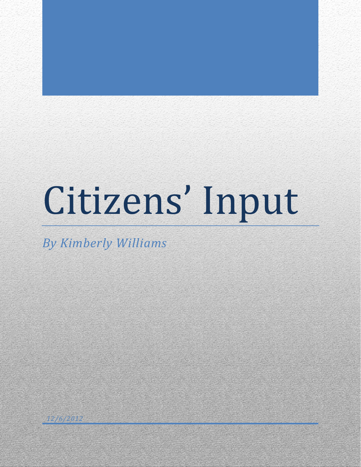# Citizens' Input

*By Kimberly Williams*

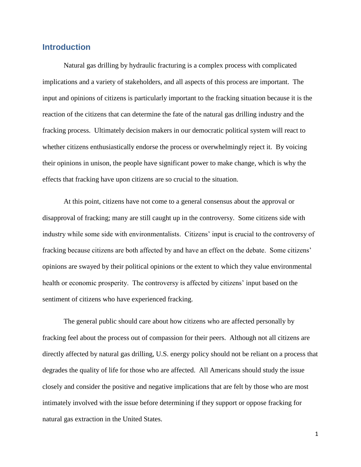## **Introduction**

Natural gas drilling by hydraulic fracturing is a complex process with complicated implications and a variety of stakeholders, and all aspects of this process are important. The input and opinions of citizens is particularly important to the fracking situation because it is the reaction of the citizens that can determine the fate of the natural gas drilling industry and the fracking process. Ultimately decision makers in our democratic political system will react to whether citizens enthusiastically endorse the process or overwhelmingly reject it. By voicing their opinions in unison, the people have significant power to make change, which is why the effects that fracking have upon citizens are so crucial to the situation.

At this point, citizens have not come to a general consensus about the approval or disapproval of fracking; many are still caught up in the controversy. Some citizens side with industry while some side with environmentalists. Citizens' input is crucial to the controversy of fracking because citizens are both affected by and have an effect on the debate. Some citizens' opinions are swayed by their political opinions or the extent to which they value environmental health or economic prosperity. The controversy is affected by citizens' input based on the sentiment of citizens who have experienced fracking.

The general public should care about how citizens who are affected personally by fracking feel about the process out of compassion for their peers. Although not all citizens are directly affected by natural gas drilling, U.S. energy policy should not be reliant on a process that degrades the quality of life for those who are affected. All Americans should study the issue closely and consider the positive and negative implications that are felt by those who are most intimately involved with the issue before determining if they support or oppose fracking for natural gas extraction in the United States.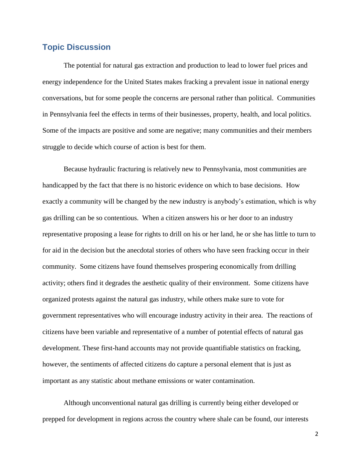# **Topic Discussion**

The potential for natural gas extraction and production to lead to lower fuel prices and energy independence for the United States makes fracking a prevalent issue in national energy conversations, but for some people the concerns are personal rather than political. Communities in Pennsylvania feel the effects in terms of their businesses, property, health, and local politics. Some of the impacts are positive and some are negative; many communities and their members struggle to decide which course of action is best for them.

Because hydraulic fracturing is relatively new to Pennsylvania, most communities are handicapped by the fact that there is no historic evidence on which to base decisions. How exactly a community will be changed by the new industry is anybody's estimation, which is why gas drilling can be so contentious. When a citizen answers his or her door to an industry representative proposing a lease for rights to drill on his or her land, he or she has little to turn to for aid in the decision but the anecdotal stories of others who have seen fracking occur in their community. Some citizens have found themselves prospering economically from drilling activity; others find it degrades the aesthetic quality of their environment. Some citizens have organized protests against the natural gas industry, while others make sure to vote for government representatives who will encourage industry activity in their area. The reactions of citizens have been variable and representative of a number of potential effects of natural gas development. These first-hand accounts may not provide quantifiable statistics on fracking, however, the sentiments of affected citizens do capture a personal element that is just as important as any statistic about methane emissions or water contamination.

Although unconventional natural gas drilling is currently being either developed or prepped for development in regions across the country where shale can be found, our interests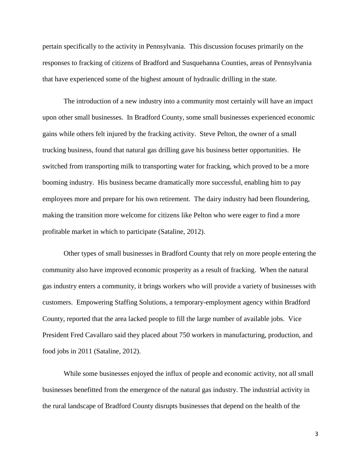pertain specifically to the activity in Pennsylvania. This discussion focuses primarily on the responses to fracking of citizens of Bradford and Susquehanna Counties, areas of Pennsylvania that have experienced some of the highest amount of hydraulic drilling in the state.

The introduction of a new industry into a community most certainly will have an impact upon other small businesses. In Bradford County, some small businesses experienced economic gains while others felt injured by the fracking activity. Steve Pelton, the owner of a small trucking business, found that natural gas drilling gave his business better opportunities. He switched from transporting milk to transporting water for fracking, which proved to be a more booming industry. His business became dramatically more successful, enabling him to pay employees more and prepare for his own retirement. The dairy industry had been floundering, making the transition more welcome for citizens like Pelton who were eager to find a more profitable market in which to participate (Sataline, 2012).

Other types of small businesses in Bradford County that rely on more people entering the community also have improved economic prosperity as a result of fracking. When the natural gas industry enters a community, it brings workers who will provide a variety of businesses with customers. Empowering Staffing Solutions, a temporary-employment agency within Bradford County, reported that the area lacked people to fill the large number of available jobs. Vice President Fred Cavallaro said they placed about 750 workers in manufacturing, production, and food jobs in 2011 (Sataline, 2012).

While some businesses enjoyed the influx of people and economic activity, not all small businesses benefitted from the emergence of the natural gas industry. The industrial activity in the rural landscape of Bradford County disrupts businesses that depend on the health of the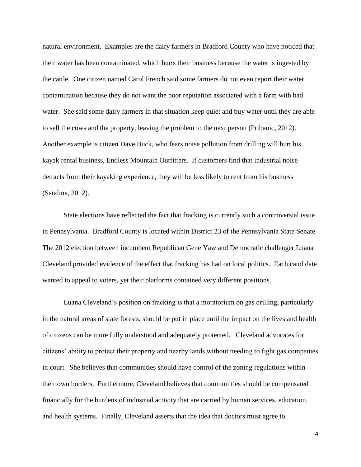natural environment. Examples are the dairy farmers in Bradford County who have noticed that their water has been contaminated, which hurts their business because the water is ingested by the cattle. One citizen named Carol French said some farmers do not even report their water contamination because they do not want the poor reputation associated with a farm with bad water. She said some dairy farmers in that situation keep quiet and buy water until they are able to sell the cows and the property, leaving the problem to the next person (Pribanic, 2012). Another example is citizen Dave Buck, who fears noise pollution from drilling will hurt his kayak rental business, Endless Mountain Outfitters. If customers find that industrial noise detracts from their kayaking experience, they will be less likely to rent from his business (Sataline, 2012).

State elections have reflected the fact that fracking is currently such a controversial issue in Pennsylvania. Bradford County is located within District 23 of the Pennsylvania State Senate. The 2012 election between incumbent Republican Gene Yaw and Democratic challenger Luana Cleveland provided evidence of the effect that fracking has had on local politics. Each candidate wanted to appeal to voters, yet their platforms contained very different positions.

Luana Cleveland's position on fracking is that a moratorium on gas drilling, particularly in the natural areas of state forests, should be put in place until the impact on the lives and health of citizens can be more fully understood and adequately protected. Cleveland advocates for citizens' ability to protect their property and nearby lands without needing to fight gas companies in court. She believes that communities should have control of the zoning regulations within their own borders. Furthermore, Cleveland believes that communities should be compensated financially for the burdens of industrial activity that are carried by human services, education, and health systems. Finally, Cleveland asserts that the idea that doctors must agree to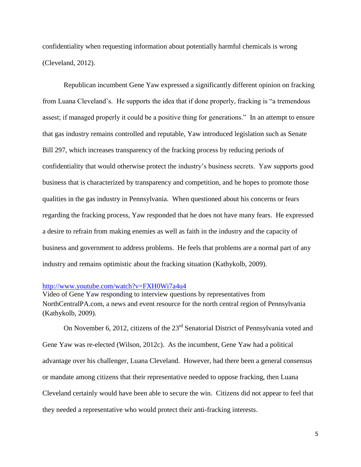confidentiality when requesting information about potentially harmful chemicals is wrong (Cleveland, 2012).

Republican incumbent Gene Yaw expressed a significantly different opinion on fracking from Luana Cleveland's. He supports the idea that if done properly, fracking is "a tremendous assest; if managed properly it could be a positive thing for generations." In an attempt to ensure that gas industry remains controlled and reputable, Yaw introduced legislation such as Senate Bill 297, which increases transparency of the fracking process by reducing periods of confidentiality that would otherwise protect the industry's business secrets. Yaw supports good business that is characterized by transparency and competition, and he hopes to promote those qualities in the gas industry in Pennsylvania. When questioned about his concerns or fears regarding the fracking process, Yaw responded that he does not have many fears. He expressed a desire to refrain from making enemies as well as faith in the industry and the capacity of business and government to address problems. He feels that problems are a normal part of any industry and remains optimistic about the fracking situation (Kathykolb, 2009).

#### <http://www.youtube.com/watch?v=FXH0Wi7a4u4>

Video of Gene Yaw responding to interview questions by representatives from NorthCentralPA.com, a news and event resource for the north central region of Pennsylvania (Kathykolb, 2009).

On November 6, 2012, citizens of the 23<sup>rd</sup> Senatorial District of Pennsylvania voted and Gene Yaw was re-elected (Wilson, 2012c). As the incumbent, Gene Yaw had a political advantage over his challenger, Luana Cleveland. However, had there been a general consensus or mandate among citizens that their representative needed to oppose fracking, then Luana Cleveland certainly would have been able to secure the win. Citizens did not appear to feel that they needed a representative who would protect their anti-fracking interests.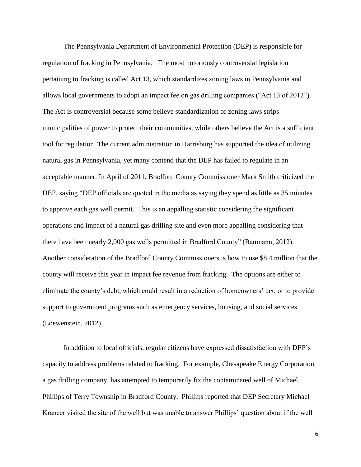The Pennsylvania Department of Environmental Protection (DEP) is responsible for regulation of fracking in Pennsylvania. The most notoriously controversial legislation pertaining to fracking is called Act 13, which standardizes zoning laws in Pennsylvania and allows local governments to adopt an impact fee on gas drilling companies ("Act 13 of 2012"). The Act is controversial because some believe standardization of zoning laws strips municipalities of power to protect their communities, while others believe the Act is a sufficient tool for regulation. The current administration in Harrisburg has supported the idea of utilizing natural gas in Pennsylvania, yet many contend that the DEP has failed to regulate in an acceptable manner. In April of 2011, Bradford County Commissioner Mark Smith criticized the DEP, saying "DEP officials are quoted in the media as saying they spend as little as 35 minutes to approve each gas well permit. This is an appalling statistic considering the significant operations and impact of a natural gas drilling site and even more appalling considering that there have been nearly 2,000 gas wells permitted in Bradford County" (Baumann, 2012). Another consideration of the Bradford County Commissioners is how to use \$8.4 million that the county will receive this year in impact fee revenue from fracking. The options are either to eliminate the county's debt, which could result in a reduction of homeowners' tax, or to provide support to government programs such as emergency services, housing, and social services (Loewenstein, 2012).

In addition to local officials, regular citizens have expressed dissatisfaction with DEP's capacity to address problems related to fracking. For example, Chesapeake Energy Corporation, a gas drilling company, has attempted to temporarily fix the contaminated well of Michael Phillips of Terry Township in Bradford County. Phillips reported that DEP Secretary Michael Krancer visited the site of the well but was unable to answer Phillips' question about if the well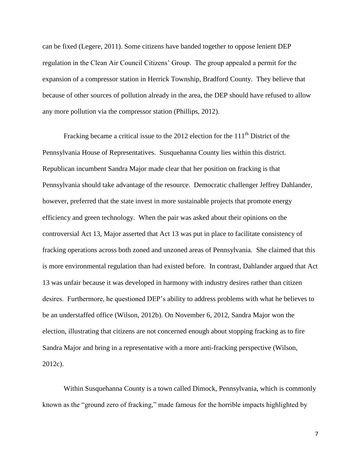can be fixed (Legere, 2011). Some citizens have banded together to oppose lenient DEP regulation in the Clean Air Council Citizens' Group. The group appealed a permit for the expansion of a compressor station in Herrick Township, Bradford County. They believe that because of other sources of pollution already in the area, the DEP should have refused to allow any more pollution via the compressor station (Phillips, 2012).

Fracking became a critical issue to the 2012 election for the  $111<sup>th</sup>$  District of the Pennsylvania House of Representatives. Susquehanna County lies within this district. Republican incumbent Sandra Major made clear that her position on fracking is that Pennsylvania should take advantage of the resource. Democratic challenger Jeffrey Dahlander, however, preferred that the state invest in more sustainable projects that promote energy efficiency and green technology. When the pair was asked about their opinions on the controversial Act 13, Major asserted that Act 13 was put in place to facilitate consistency of fracking operations across both zoned and unzoned areas of Pennsylvania. She claimed that this is more environmental regulation than had existed before. In contrast, Dahlander argued that Act 13 was unfair because it was developed in harmony with industry desires rather than citizen desires. Furthermore, he questioned DEP's ability to address problems with what he believes to be an understaffed office (Wilson, 2012b). On November 6, 2012, Sandra Major won the election, illustrating that citizens are not concerned enough about stopping fracking as to fire Sandra Major and bring in a representative with a more anti-fracking perspective (Wilson, 2012c).

Within Susquehanna County is a town called Dimock, Pennsylvania, which is commonly known as the "ground zero of fracking," made famous for the horrible impacts highlighted by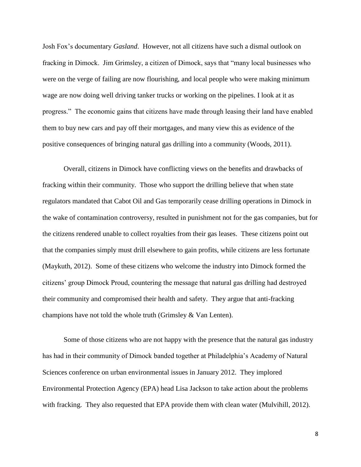Josh Fox's documentary *Gasland*. However, not all citizens have such a dismal outlook on fracking in Dimock. Jim Grimsley, a citizen of Dimock, says that "many local businesses who were on the verge of failing are now flourishing, and local people who were making minimum wage are now doing well driving tanker trucks or working on the pipelines. I look at it as progress." The economic gains that citizens have made through leasing their land have enabled them to buy new cars and pay off their mortgages, and many view this as evidence of the positive consequences of bringing natural gas drilling into a community (Woods, 2011).

Overall, citizens in Dimock have conflicting views on the benefits and drawbacks of fracking within their community. Those who support the drilling believe that when state regulators mandated that Cabot Oil and Gas temporarily cease drilling operations in Dimock in the wake of contamination controversy, resulted in punishment not for the gas companies, but for the citizens rendered unable to collect royalties from their gas leases. These citizens point out that the companies simply must drill elsewhere to gain profits, while citizens are less fortunate (Maykuth, 2012). Some of these citizens who welcome the industry into Dimock formed the citizens' group Dimock Proud, countering the message that natural gas drilling had destroyed their community and compromised their health and safety. They argue that anti-fracking champions have not told the whole truth (Grimsley & Van Lenten).

Some of those citizens who are not happy with the presence that the natural gas industry has had in their community of Dimock banded together at Philadelphia's Academy of Natural Sciences conference on urban environmental issues in January 2012. They implored Environmental Protection Agency (EPA) head Lisa Jackson to take action about the problems with fracking. They also requested that EPA provide them with clean water (Mulvihill, 2012).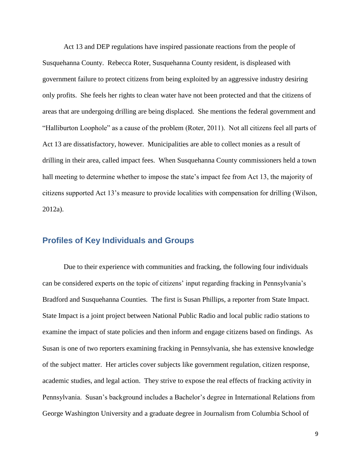Act 13 and DEP regulations have inspired passionate reactions from the people of Susquehanna County. Rebecca Roter, Susquehanna County resident, is displeased with government failure to protect citizens from being exploited by an aggressive industry desiring only profits. She feels her rights to clean water have not been protected and that the citizens of areas that are undergoing drilling are being displaced. She mentions the federal government and "Halliburton Loophole" as a cause of the problem (Roter, 2011). Not all citizens feel all parts of Act 13 are dissatisfactory, however. Municipalities are able to collect monies as a result of drilling in their area, called impact fees. When Susquehanna County commissioners held a town hall meeting to determine whether to impose the state's impact fee from Act 13, the majority of citizens supported Act 13's measure to provide localities with compensation for drilling (Wilson, 2012a).

## **Profiles of Key Individuals and Groups**

Due to their experience with communities and fracking, the following four individuals can be considered experts on the topic of citizens' input regarding fracking in Pennsylvania's Bradford and Susquehanna Counties. The first is Susan Phillips, a reporter from State Impact. State Impact is a joint project between National Public Radio and local public radio stations to examine the impact of state policies and then inform and engage citizens based on findings. As Susan is one of two reporters examining fracking in Pennsylvania, she has extensive knowledge of the subject matter. Her articles cover subjects like government regulation, citizen response, academic studies, and legal action. They strive to expose the real effects of fracking activity in Pennsylvania. Susan's background includes a Bachelor's degree in International Relations from George Washington University and a graduate degree in Journalism from Columbia School of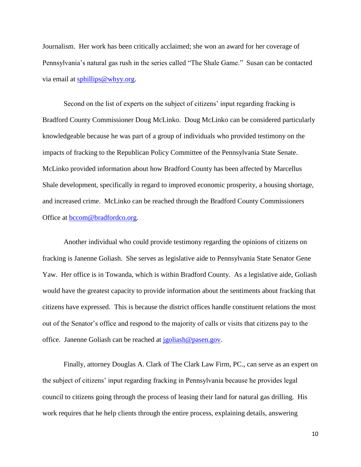Journalism. Her work has been critically acclaimed; she won an award for her coverage of Pennsylvania's natural gas rush in the series called "The Shale Game." Susan can be contacted via email at [sphillips@whyy.org.](mailto:sphillips@whyy.org)

Second on the list of experts on the subject of citizens' input regarding fracking is Bradford County Commissioner Doug McLinko. Doug McLinko can be considered particularly knowledgeable because he was part of a group of individuals who provided testimony on the impacts of fracking to the Republican Policy Committee of the Pennsylvania State Senate. McLinko provided information about how Bradford County has been affected by Marcellus Shale development, specifically in regard to improved economic prosperity, a housing shortage, and increased crime. McLinko can be reached through the Bradford County Commissioners Office at [bccom@bradfordco.org.](mailto:bccom%40bradfordco.org)

Another individual who could provide testimony regarding the opinions of citizens on fracking is Janenne Goliash. She serves as legislative aide to Pennsylvania State Senator Gene Yaw. Her office is in Towanda, which is within Bradford County. As a legislative aide, Goliash would have the greatest capacity to provide information about the sentiments about fracking that citizens have expressed. This is because the district offices handle constituent relations the most out of the Senator's office and respond to the majority of calls or visits that citizens pay to the office. Janenne Goliash can be reached at [jgoliash@pasen.gov.](mailto:jgoliash@pasen.gov)

Finally, attorney Douglas A. Clark of The Clark Law Firm, PC., can serve as an expert on the subject of citizens' input regarding fracking in Pennsylvania because he provides legal council to citizens going through the process of leasing their land for natural gas drilling. His work requires that he help clients through the entire process, explaining details, answering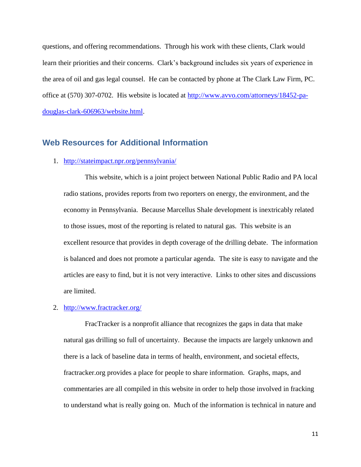questions, and offering recommendations. Through his work with these clients, Clark would learn their priorities and their concerns. Clark's background includes six years of experience in the area of oil and gas legal counsel. He can be contacted by phone at The Clark Law Firm, PC. office at (570) 307-0702. His website is located at [http://www.avvo.com/attorneys/18452-pa](http://www.avvo.com/attorneys/18452-pa-douglas-clark-606963/website.html)[douglas-clark-606963/website.html.](http://www.avvo.com/attorneys/18452-pa-douglas-clark-606963/website.html)

## **Web Resources for Additional Information**

### 1. <http://stateimpact.npr.org/pennsylvania/>

This website, which is a joint project between National Public Radio and PA local radio stations, provides reports from two reporters on energy, the environment, and the economy in Pennsylvania. Because Marcellus Shale development is inextricably related to those issues, most of the reporting is related to natural gas. This website is an excellent resource that provides in depth coverage of the drilling debate. The information is balanced and does not promote a particular agenda. The site is easy to navigate and the articles are easy to find, but it is not very interactive. Links to other sites and discussions are limited.

## 2. <http://www.fractracker.org/>

FracTracker is a nonprofit alliance that recognizes the gaps in data that make natural gas drilling so full of uncertainty. Because the impacts are largely unknown and there is a lack of baseline data in terms of health, environment, and societal effects, fractracker.org provides a place for people to share information. Graphs, maps, and commentaries are all compiled in this website in order to help those involved in fracking to understand what is really going on. Much of the information is technical in nature and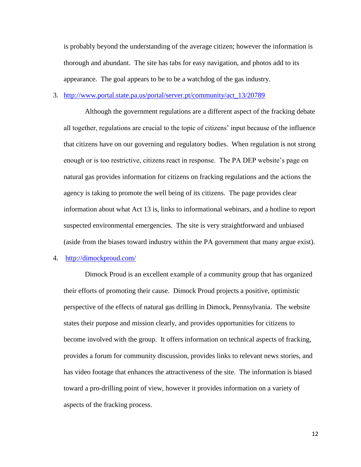is probably beyond the understanding of the average citizen; however the information is thorough and abundant. The site has tabs for easy navigation, and photos add to its appearance. The goal appears to be to be a watchdog of the gas industry.

### 3. [http://www.portal.state.pa.us/portal/server.pt/community/act\\_13/20789](http://www.portal.state.pa.us/portal/server.pt/community/act_13/20789)

Although the government regulations are a different aspect of the fracking debate all together, regulations are crucial to the topic of citizens' input because of the influence that citizens have on our governing and regulatory bodies. When regulation is not strong enough or is too restrictive, citizens react in response. The PA DEP website's page on natural gas provides information for citizens on fracking regulations and the actions the agency is taking to promote the well being of its citizens. The page provides clear information about what Act 13 is, links to informational webinars, and a hotline to report suspected environmental emergencies. The site is very straightforward and unbiased (aside from the biases toward industry within the PA government that many argue exist).

#### 4. <http://dimockproud.com/>

Dimock Proud is an excellent example of a community group that has organized their efforts of promoting their cause. Dimock Proud projects a positive, optimistic perspective of the effects of natural gas drilling in Dimock, Pennsylvania. The website states their purpose and mission clearly, and provides opportunities for citizens to become involved with the group. It offers information on technical aspects of fracking, provides a forum for community discussion, provides links to relevant news stories, and has video footage that enhances the attractiveness of the site. The information is biased toward a pro-drilling point of view, however it provides information on a variety of aspects of the fracking process.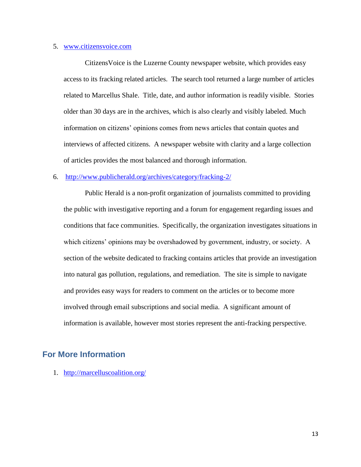#### 5. [www.citizensvoice.com](http://www.citizensvoice.com/)

CitizensVoice is the Luzerne County newspaper website, which provides easy access to its fracking related articles. The search tool returned a large number of articles related to Marcellus Shale. Title, date, and author information is readily visible. Stories older than 30 days are in the archives, which is also clearly and visibly labeled. Much information on citizens' opinions comes from news articles that contain quotes and interviews of affected citizens. A newspaper website with clarity and a large collection of articles provides the most balanced and thorough information.

#### 6. <http://www.publicherald.org/archives/category/fracking-2/>

Public Herald is a non-profit organization of journalists committed to providing the public with investigative reporting and a forum for engagement regarding issues and conditions that face communities. Specifically, the organization investigates situations in which citizens' opinions may be overshadowed by government, industry, or society. A section of the website dedicated to fracking contains articles that provide an investigation into natural gas pollution, regulations, and remediation. The site is simple to navigate and provides easy ways for readers to comment on the articles or to become more involved through email subscriptions and social media. A significant amount of information is available, however most stories represent the anti-fracking perspective.

## **For More Information**

1. <http://marcelluscoalition.org/>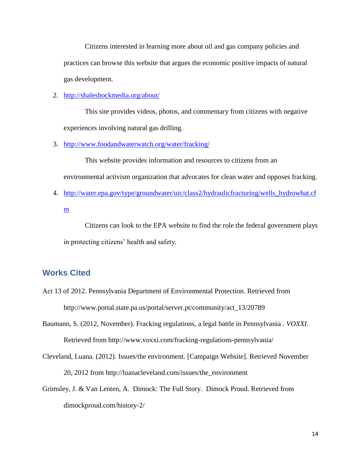Citizens interested in learning more about oil and gas company policies and practices can browse this website that argues the economic positive impacts of natural gas development.

#### 2. <http://shaleshockmedia.org/about/>

This site provides videos, photos, and commentary from citizens with negative experiences involving natural gas drilling.

3. <http://www.foodandwaterwatch.org/water/fracking/>

This website provides information and resources to citizens from an environmental activism organization that advocates for clean water and opposes fracking.

4. [http://water.epa.gov/type/groundwater/uic/class2/hydraulicfracturing/wells\\_hydrowhat.cf](http://water.epa.gov/type/groundwater/uic/class2/hydraulicfracturing/wells_hydrowhat.cfm) [m](http://water.epa.gov/type/groundwater/uic/class2/hydraulicfracturing/wells_hydrowhat.cfm)

Citizens can look to the EPA website to find the role the federal government plays in protecting citizens' health and safety.

## **Works Cited**

- Act 13 of 2012. Pennsylvania Department of Environmental Protection. Retrieved from http://www.portal.state.pa.us/portal/server.pt/community/act\_13/20789
- Baumann, S. (2012, November). Fracking regulations, a legal battle in Pennsylvania . *VOXXI*. Retrieved from http://www.voxxi.com/fracking-regulations-pennsylvania/
- Cleveland, Luana. (2012). Issues/the environment. [Campaign Website]. Retrieved November 20, 2012 from http://luanacleveland.com/issues/the\_environment
- Grimsley, J. & Van Lenten, A. Dimock: The Full Story. Dimock Proud. Retrieved from dimockproud.com/history-2/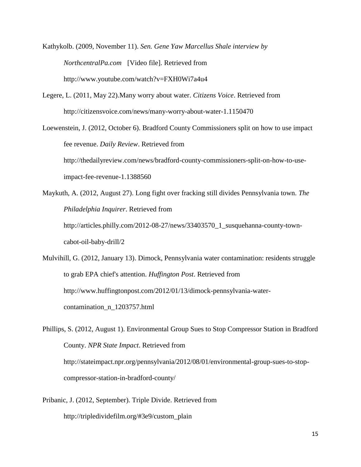Kathykolb. (2009, November 11). *Sen. Gene Yaw Marcellus Shale interview by NorthcentralPa.com* [Video file]. Retrieved from http://www.youtube.com/watch?v=FXH0Wi7a4u4

Legere, L. (2011, May 22).Many worry about water. *Citizens Voice*. Retrieved from http://citizensvoice.com/news/many-worry-about-water-1.1150470

Loewenstein, J. (2012, October 6). Bradford County Commissioners split on how to use impact fee revenue. *Daily Review*. Retrieved from http://thedailyreview.com/news/bradford-county-commissioners-split-on-how-to-useimpact-fee-revenue-1.1388560

Maykuth, A. (2012, August 27). Long fight over fracking still divides Pennsylvania town. *The Philadelphia Inquirer*. Retrieved from http://articles.philly.com/2012-08-27/news/33403570\_1\_susquehanna-county-towncabot-oil-baby-drill/2

Mulvihill, G. (2012, January 13). Dimock, Pennsylvania water contamination: residents struggle to grab EPA chief's attention. *Huffington Post*. Retrieved from http://www.huffingtonpost.com/2012/01/13/dimock-pennsylvania-watercontamination\_n\_1203757.html

Phillips, S. (2012, August 1). Environmental Group Sues to Stop Compressor Station in Bradford County. *NPR State Impact*. Retrieved from http://stateimpact.npr.org/pennsylvania/2012/08/01/environmental-group-sues-to-stopcompressor-station-in-bradford-county/

Pribanic, J. (2012, September). Triple Divide. Retrieved from http://tripledividefilm.org/#3e9/custom\_plain